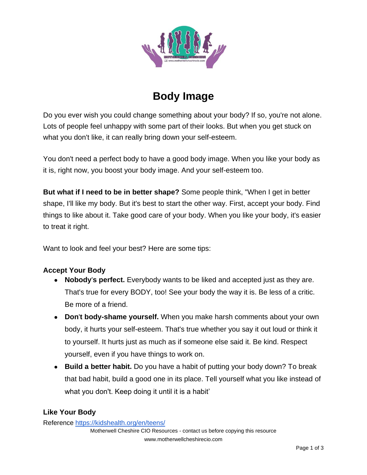

# **Body Image**

Do you ever wish you could change something about your body? If so, you're not alone. Lots of people feel unhappy with some part of their looks. But when you get stuck on what you don't like, it can really bring down your self-esteem.

You don't need a perfect body to have a good body image. When you like your body as it is, right now, you boost your body image. And your self-esteem too.

**But what if I need to be in better shape?** Some people think, "When I get in better shape, I'll like my body. But it's best to start the other way. First, accept your body. Find things to like about it. Take good care of your body. When you like your body, it's easier to treat it right.

Want to look and feel your best? Here are some tips:

## **Accept Your Body**

- **Nobody**'**s perfect.** Everybody wants to be liked and accepted just as they are. That's true for every BODY, too! See your body the way it is. Be less of a critic. Be more of a friend.
- **Don**'**t body-shame yourself.** When you make harsh comments about your own body, it hurts your self-esteem. That's true whether you say it out loud or think it to yourself. It hurts just as much as if someone else said it. Be kind. Respect yourself, even if you have things to work on.
- **Build a better habit.** Do you have a habit of putting your body down? To break that bad habit, build a good one in its place. Tell yourself what you like instead of what you don't. Keep doing it until it is a habit'

## **Like Your Body**

Reference<https://kidshealth.org/en/teens/>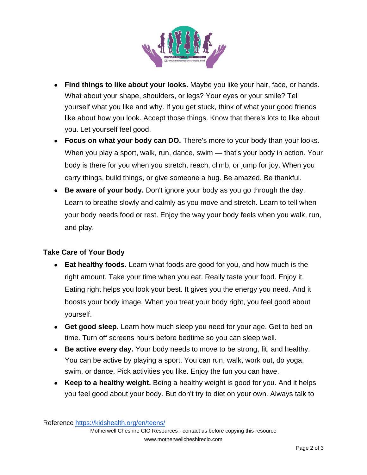

- **Find things to like about your looks.** Maybe you like your hair, face, or hands. What about your shape, shoulders, or legs? Your eyes or your smile? Tell yourself what you like and why. If you get stuck, think of what your good friends like about how you look. Accept those things. Know that there's lots to like about you. Let yourself feel good.
- **Focus on what your body can DO.** There's more to your body than your looks. When you play a sport, walk, run, dance, swim — that's your body in action. Your body is there for you when you stretch, reach, climb, or jump for joy. When you carry things, build things, or give someone a hug. Be amazed. Be thankful.
- **Be aware of your body.** Don't ignore your body as you go through the day. Learn to breathe slowly and calmly as you move and stretch. Learn to tell when your body needs food or rest. Enjoy the way your body feels when you walk, run, and play.

## **Take Care of Your Body**

- **Eat healthy foods.** Learn what foods are good for you, and how much is the right amount. Take your time when you eat. Really taste your food. Enjoy it. Eating right helps you look your best. It gives you the energy you need. And it boosts your body image. When you treat your body right, you feel good about yourself.
- **Get good sleep.** Learn how much sleep you need for your age. Get to bed on time. Turn off screens hours before bedtime so you can sleep well.
- **Be active every day.** Your body needs to move to be strong, fit, and healthy. You can be active by playing a sport. You can run, walk, work out, do yoga, swim, or dance. Pick activities you like. Enjoy the fun you can have.
- **Keep to a healthy weight.** Being a healthy weight is good for you. And it helps you feel good about your body. But don't try to diet on your own. Always talk to

Reference<https://kidshealth.org/en/teens/>